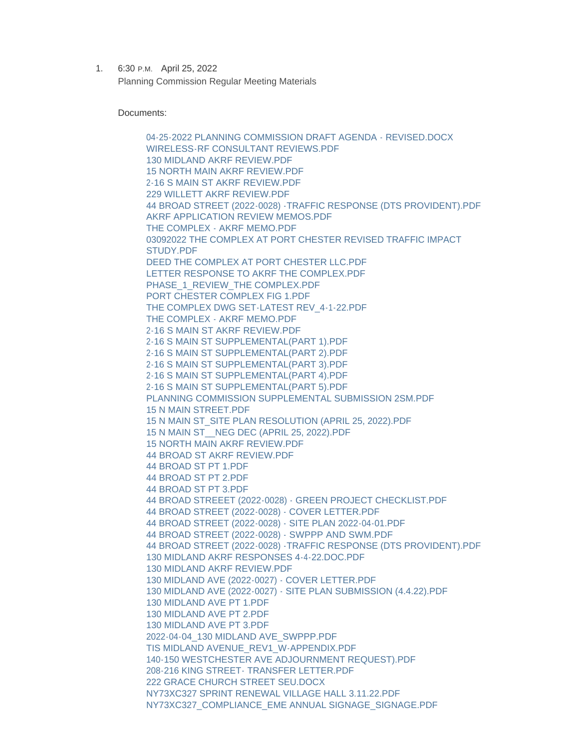1. 6:30 P.M. April 25, 2022 Planning Commission Regular Meeting Materials

Documents:

[04-25-2022 PLANNING COMMISSION DRAFT AGENDA - REVISED.DOCX](https://www.portchesterny.gov/AgendaCenter/ViewFile/Item/149?fileID=598) [WIRELESS-RF CONSULTANT REVIEWS.PDF](https://www.portchesterny.gov/AgendaCenter/ViewFile/Item/149?fileID=599) [130 MIDLAND AKRF REVIEW.PDF](https://www.portchesterny.gov/AgendaCenter/ViewFile/Item/149?fileID=600) [15 NORTH MAIN AKRF REVIEW.PDF](https://www.portchesterny.gov/AgendaCenter/ViewFile/Item/149?fileID=601) [2-16 S MAIN ST AKRF REVIEW.PDF](https://www.portchesterny.gov/AgendaCenter/ViewFile/Item/149?fileID=602) [229 WILLETT AKRF REVIEW.PDF](https://www.portchesterny.gov/AgendaCenter/ViewFile/Item/149?fileID=603) [44 BROAD STREET \(2022-0028\) -TRAFFIC RESPONSE \(DTS PROVIDENT\).PDF](https://www.portchesterny.gov/AgendaCenter/ViewFile/Item/149?fileID=604) [AKRF APPLICATION REVIEW MEMOS.PDF](https://www.portchesterny.gov/AgendaCenter/ViewFile/Item/149?fileID=605) [THE COMPLEX - AKRF MEMO.PDF](https://www.portchesterny.gov/AgendaCenter/ViewFile/Item/149?fileID=606) [03092022 THE COMPLEX AT PORT CHESTER REVISED TRAFFIC IMPACT](https://www.portchesterny.gov/AgendaCenter/ViewFile/Item/149?fileID=607)  STUDY.PDF [DEED THE COMPLEX AT PORT CHESTER LLC.PDF](https://www.portchesterny.gov/AgendaCenter/ViewFile/Item/149?fileID=608) [LETTER RESPONSE TO AKRF THE COMPLEX.PDF](https://www.portchesterny.gov/AgendaCenter/ViewFile/Item/149?fileID=609) [PHASE\\_1\\_REVIEW\\_THE COMPLEX.PDF](https://www.portchesterny.gov/AgendaCenter/ViewFile/Item/149?fileID=610) [PORT CHESTER COMPLEX FIG 1.PDF](https://www.portchesterny.gov/AgendaCenter/ViewFile/Item/149?fileID=611) [THE COMPLEX DWG SET-LATEST REV\\_4-1-22.PDF](https://www.portchesterny.gov/AgendaCenter/ViewFile/Item/149?fileID=612) [THE COMPLEX - AKRF MEMO.PDF](https://www.portchesterny.gov/AgendaCenter/ViewFile/Item/149?fileID=613) [2-16 S MAIN ST AKRF REVIEW.PDF](https://www.portchesterny.gov/AgendaCenter/ViewFile/Item/149?fileID=614) [2-16 S MAIN ST SUPPLEMENTAL\(PART 1\).PDF](https://www.portchesterny.gov/AgendaCenter/ViewFile/Item/149?fileID=615) [2-16 S MAIN ST SUPPLEMENTAL\(PART 2\).PDF](https://www.portchesterny.gov/AgendaCenter/ViewFile/Item/149?fileID=616) [2-16 S MAIN ST SUPPLEMENTAL\(PART 3\).PDF](https://www.portchesterny.gov/AgendaCenter/ViewFile/Item/149?fileID=617) [2-16 S MAIN ST SUPPLEMENTAL\(PART 4\).PDF](https://www.portchesterny.gov/AgendaCenter/ViewFile/Item/149?fileID=618) [2-16 S MAIN ST SUPPLEMENTAL\(PART 5\).PDF](https://www.portchesterny.gov/AgendaCenter/ViewFile/Item/149?fileID=619) [PLANNING COMMISSION SUPPLEMENTAL SUBMISSION 2SM.PDF](https://www.portchesterny.gov/AgendaCenter/ViewFile/Item/149?fileID=620) [15 N MAIN STREET.PDF](https://www.portchesterny.gov/AgendaCenter/ViewFile/Item/149?fileID=621) [15 N MAIN ST\\_SITE PLAN RESOLUTION \(APRIL 25, 2022\).PDF](https://www.portchesterny.gov/AgendaCenter/ViewFile/Item/149?fileID=622) [15 N MAIN ST\\_\\_NEG DEC \(APRIL 25, 2022\).PDF](https://www.portchesterny.gov/AgendaCenter/ViewFile/Item/149?fileID=623) [15 NORTH MAIN AKRF REVIEW.PDF](https://www.portchesterny.gov/AgendaCenter/ViewFile/Item/149?fileID=624) [44 BROAD ST AKRF REVIEW.PDF](https://www.portchesterny.gov/AgendaCenter/ViewFile/Item/149?fileID=625) [44 BROAD ST PT 1.PDF](https://www.portchesterny.gov/AgendaCenter/ViewFile/Item/149?fileID=626) [44 BROAD ST PT 2.PDF](https://www.portchesterny.gov/AgendaCenter/ViewFile/Item/149?fileID=627) [44 BROAD ST PT 3.PDF](https://www.portchesterny.gov/AgendaCenter/ViewFile/Item/149?fileID=628) [44 BROAD STREEET \(2022-0028\) - GREEN PROJECT CHECKLIST.PDF](https://www.portchesterny.gov/AgendaCenter/ViewFile/Item/149?fileID=629) [44 BROAD STREET \(2022-0028\) - COVER LETTER.PDF](https://www.portchesterny.gov/AgendaCenter/ViewFile/Item/149?fileID=630) [44 BROAD STREET \(2022-0028\) - SITE PLAN 2022-04-01.PDF](https://www.portchesterny.gov/AgendaCenter/ViewFile/Item/149?fileID=631) [44 BROAD STREET \(2022-0028\) - SWPPP AND SWM.PDF](https://www.portchesterny.gov/AgendaCenter/ViewFile/Item/149?fileID=632) [44 BROAD STREET \(2022-0028\) -TRAFFIC RESPONSE \(DTS PROVIDENT\).PDF](https://www.portchesterny.gov/AgendaCenter/ViewFile/Item/149?fileID=633) [130 MIDLAND AKRF RESPONSES 4-4-22.DOC.PDF](https://www.portchesterny.gov/AgendaCenter/ViewFile/Item/149?fileID=634) [130 MIDLAND AKRF REVIEW.PDF](https://www.portchesterny.gov/AgendaCenter/ViewFile/Item/149?fileID=635) [130 MIDLAND AVE \(2022-0027\) - COVER LETTER.PDF](https://www.portchesterny.gov/AgendaCenter/ViewFile/Item/149?fileID=636) [130 MIDLAND AVE \(2022-0027\) - SITE PLAN SUBMISSION \(4.4.22\).PDF](https://www.portchesterny.gov/AgendaCenter/ViewFile/Item/149?fileID=637) [130 MIDLAND AVE PT 1.PDF](https://www.portchesterny.gov/AgendaCenter/ViewFile/Item/149?fileID=638) [130 MIDLAND AVE PT 2.PDF](https://www.portchesterny.gov/AgendaCenter/ViewFile/Item/149?fileID=639) [130 MIDLAND AVE PT 3.PDF](https://www.portchesterny.gov/AgendaCenter/ViewFile/Item/149?fileID=640) [2022-04-04\\_130 MIDLAND AVE\\_SWPPP.PDF](https://www.portchesterny.gov/AgendaCenter/ViewFile/Item/149?fileID=641) [TIS MIDLAND AVENUE\\_REV1\\_W-APPENDIX.PDF](https://www.portchesterny.gov/AgendaCenter/ViewFile/Item/149?fileID=642) [140-150 WESTCHESTER AVE ADJOURNMENT REQUEST\).PDF](https://www.portchesterny.gov/AgendaCenter/ViewFile/Item/149?fileID=643) [208-216 KING STREET- TRANSFER LETTER.PDF](https://www.portchesterny.gov/AgendaCenter/ViewFile/Item/149?fileID=644) [222 GRACE CHURCH STREET SEU.DOCX](https://www.portchesterny.gov/AgendaCenter/ViewFile/Item/149?fileID=645) [NY73XC327 SPRINT RENEWAL VILLAGE HALL 3.11.22.PDF](https://www.portchesterny.gov/AgendaCenter/ViewFile/Item/149?fileID=646) [NY73XC327\\_COMPLIANCE\\_EME ANNUAL SIGNAGE\\_SIGNAGE.PDF](https://www.portchesterny.gov/AgendaCenter/ViewFile/Item/149?fileID=647)